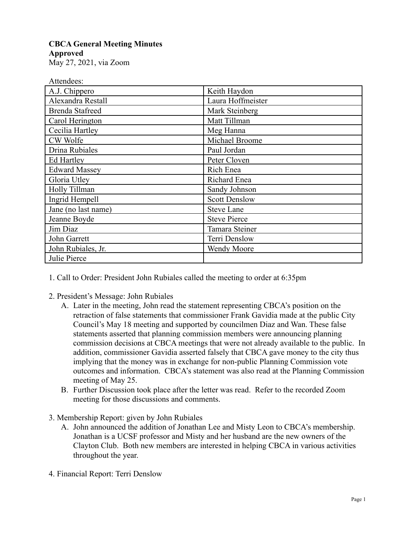## **CBCA General Meeting Minutes Approved**

May 27, 2021, via Zoom

| Attendees:             |                      |
|------------------------|----------------------|
| A.J. Chippero          | Keith Haydon         |
| Alexandra Restall      | Laura Hoffmeister    |
| <b>Brenda Stafreed</b> | Mark Steinberg       |
| Carol Herington        | Matt Tillman         |
| Cecilia Hartley        | Meg Hanna            |
| CW Wolfe               | Michael Broome       |
| Drina Rubiales         | Paul Jordan          |
| Ed Hartley             | Peter Cloven         |
| <b>Edward Massey</b>   | Rich Enea            |
| Gloria Utley           | Richard Enea         |
| Holly Tillman          | Sandy Johnson        |
| Ingrid Hempell         | <b>Scott Denslow</b> |
| Jane (no last name)    | <b>Steve Lane</b>    |
| Jeanne Boyde           | <b>Steve Pierce</b>  |
| Jim Diaz               | Tamara Steiner       |
| John Garrett           | Terri Denslow        |
| John Rubiales, Jr.     | Wendy Moore          |
| Julie Pierce           |                      |

1. Call to Order: President John Rubiales called the meeting to order at 6:35pm

- 2. President's Message: John Rubiales
	- A. Later in the meeting, John read the statement representing CBCA's position on the retraction of false statements that commissioner Frank Gavidia made at the public City Council's May 18 meeting and supported by councilmen Diaz and Wan. These false statements asserted that planning commission members were announcing planning commission decisions at CBCA meetings that were not already available to the public. In addition, commissioner Gavidia asserted falsely that CBCA gave money to the city thus implying that the money was in exchange for non-public Planning Commission vote outcomes and information. CBCA's statement was also read at the Planning Commission meeting of May 25.
	- B. Further Discussion took place after the letter was read. Refer to the recorded Zoom meeting for those discussions and comments.
- 3. Membership Report: given by John Rubiales
	- A. John announced the addition of Jonathan Lee and Misty Leon to CBCA's membership. Jonathan is a UCSF professor and Misty and her husband are the new owners of the Clayton Club. Both new members are interested in helping CBCA in various activities throughout the year.
- 4. Financial Report: Terri Denslow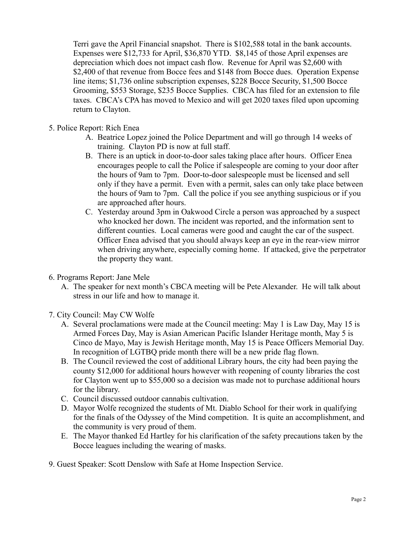Terri gave the April Financial snapshot. There is \$102,588 total in the bank accounts. Expenses were \$12,733 for April, \$36,870 YTD. \$8,145 of those April expenses are depreciation which does not impact cash flow. Revenue for April was \$2,600 with \$2,400 of that revenue from Bocce fees and \$148 from Bocce dues. Operation Expense line items; \$1,736 online subscription expenses, \$228 Bocce Security, \$1,500 Bocce Grooming, \$553 Storage, \$235 Bocce Supplies. CBCA has filed for an extension to file taxes. CBCA's CPA has moved to Mexico and will get 2020 taxes filed upon upcoming return to Clayton.

- 5. Police Report: Rich Enea
	- A. Beatrice Lopez joined the Police Department and will go through 14 weeks of training. Clayton PD is now at full staff.
	- B. There is an uptick in door-to-door sales taking place after hours. Officer Enea encourages people to call the Police if salespeople are coming to your door after the hours of 9am to 7pm. Door-to-door salespeople must be licensed and sell only if they have a permit. Even with a permit, sales can only take place between the hours of 9am to 7pm. Call the police if you see anything suspicious or if you are approached after hours.
	- C. Yesterday around 3pm in Oakwood Circle a person was approached by a suspect who knocked her down. The incident was reported, and the information sent to different counties. Local cameras were good and caught the car of the suspect. Officer Enea advised that you should always keep an eye in the rear-view mirror when driving anywhere, especially coming home. If attacked, give the perpetrator the property they want.
- 6. Programs Report: Jane Mele
	- A. The speaker for next month's CBCA meeting will be Pete Alexander. He will talk about stress in our life and how to manage it.
- 7. City Council: May CW Wolfe
	- A. Several proclamations were made at the Council meeting: May 1 is Law Day, May 15 is Armed Forces Day, May is Asian American Pacific Islander Heritage month, May 5 is Cinco de Mayo, May is Jewish Heritage month, May 15 is Peace Officers Memorial Day. In recognition of LGTBQ pride month there will be a new pride flag flown.
	- B. The Council reviewed the cost of additional Library hours, the city had been paying the county \$12,000 for additional hours however with reopening of county libraries the cost for Clayton went up to \$55,000 so a decision was made not to purchase additional hours for the library.
	- C. Council discussed outdoor cannabis cultivation.
	- D. Mayor Wolfe recognized the students of Mt. Diablo School for their work in qualifying for the finals of the Odyssey of the Mind competition. It is quite an accomplishment, and the community is very proud of them.
	- E. The Mayor thanked Ed Hartley for his clarification of the safety precautions taken by the Bocce leagues including the wearing of masks.
- 9. Guest Speaker: Scott Denslow with Safe at Home Inspection Service.